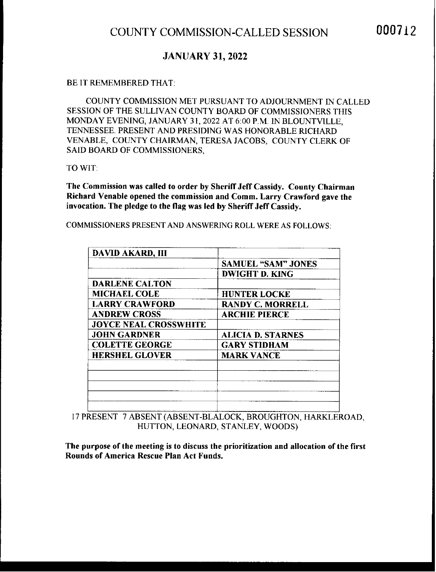### JANUARY 31, 2022

### BE IT REMEMBERED THAT:

COUNTY COMMISSION MET PURSUANT TO ADJOURNMENT IN CALLED SESSION OF THE SULLIVAN COUNTY BOARD OF COMMISSIONERS THIS MONDAY EVENING, JANUARY 31,2022 AT 6:00 P.M. IN BLOUNTVILLE, TENNESSEE. PRESENT AND PRESIDING WAS HONORABLE RICHARD VENABLE, COUNTY CHAIRMAN, TERESA JACOBS, COUNTY CLERK OF SAID BOARD OF COMMISSIONERS,

TO WIT:

The Commission was called to order by Sheriff Jeff Cassidy. County Chairman Richard Venable opened the commission and Comm. Larry Crawford gave the invocation. The pledge to the flag was led by Sheriff Jeff Cassidy.

DWIGHT D. KING DARLENE CALTON MICHAEL COLE HUNTER LOCKE LARRY CRAWFORD RANDY C. MORRELL ANDREW CROSS ARCHIE PIERCE JOYCE NEAL CROSSWHITE JOHN GARDNER **ALICIA D. STARNES** COLETTE GEORGE GARY STIDHAM HERSHEL GLOVER MARK VANCE DAVID AKARD, III SAMUEL "SAM" JONES

COMMISSIONERS PRESENT AND ANSWERING ROLL WERE AS FOLLOWS:

17 PRESENT <sup>7</sup> ABSENT (ABSENT-BLALOCK, BROUGHTON, HARKLEROAD, HUTTON, LEONARD, STANLEY, WOODS)

The purpose of the meeting is to discuss the prioritization and allocation of the first Rounds of America Rescue Plan Act Funds.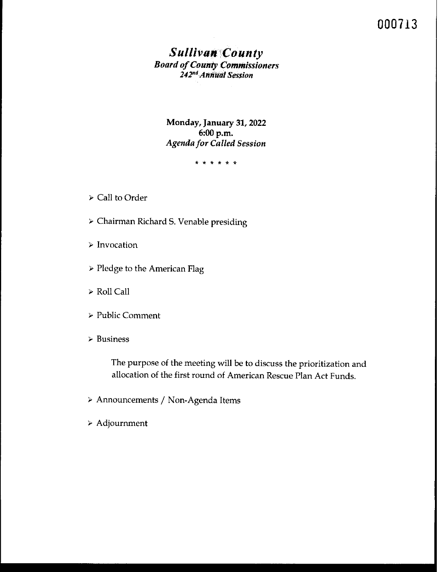# 000713

### *Sullivan County* **Board** *of County Commissioners 242~ldAnnUufSession*

Monday, January 31, 2022 6:00 p.m. *Agenda for Called Session*

\* \* \* \* \* \*

- ~ Call to Order
- > Chairman Richard S. Venable presiding
- > Invocation
- <sup>&</sup>gt; Pledge to the American Flag
- > Roll Call
- <sup>&</sup>gt; Public Comment
- ~ Business

The purpose of the meeting will be to discuss the prioritization and allocation of the first round of American Rescue Plan Act Funds.

- <sup>~</sup> Announcements / Non-Agenda Items
- <sup>&</sup>gt; Adjournment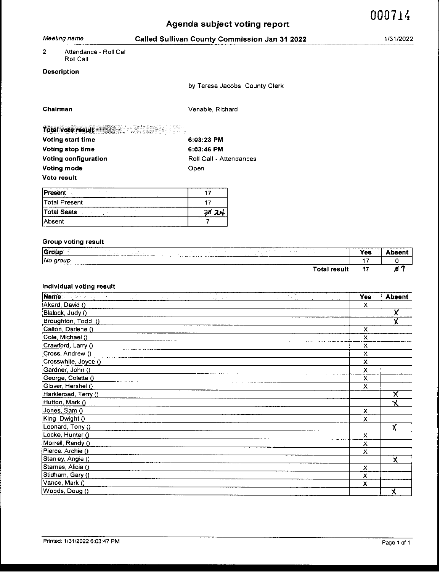|                |                            |                              |                                               | Agenda subject voting report     |                     |                | 000714        |
|----------------|----------------------------|------------------------------|-----------------------------------------------|----------------------------------|---------------------|----------------|---------------|
|                | Meeting name               |                              | Called Sullivan County Commission Jan 31 2022 |                                  |                     |                | 1/31/2022     |
| $\overline{2}$ | Attendance - Roll Call     |                              |                                               |                                  |                     |                |               |
|                | Roll Call                  |                              |                                               |                                  |                     |                |               |
|                | <b>Description</b>         |                              |                                               |                                  |                     |                |               |
|                |                            |                              |                                               | by Teresa Jacobs, County Clerk   |                     |                |               |
|                | Chairman                   |                              | Venable, Richard                              |                                  |                     |                |               |
|                | Total vote result          |                              |                                               |                                  |                     |                |               |
|                | Voting start time          |                              | 6:03:23 PM                                    |                                  |                     |                |               |
|                | Voting stop time           |                              | 6:03:46 PM                                    |                                  |                     |                |               |
|                | Voting configuration       |                              | Roll Call - Attendances                       |                                  |                     |                |               |
|                | Voting mode                |                              | Open                                          |                                  |                     |                |               |
|                | Vote result                |                              |                                               |                                  |                     |                |               |
| Present        | 1910-1                     |                              | 17                                            |                                  |                     |                |               |
|                | <b>Total Present</b>       |                              | 17                                            |                                  |                     |                |               |
|                | <b>Total Seats</b>         |                              | 2824                                          |                                  |                     |                |               |
| Absent         |                            |                              | 7                                             |                                  |                     |                |               |
|                | <b>Group voting result</b> |                              |                                               |                                  |                     |                |               |
|                | <b>Group</b>               | $\mathcal{L}_{\mathrm{max}}$ |                                               | a per in<br>$\gamma_{\rm c}$ and | $\pm$ $\pm$         | Yes            | Absent        |
|                | No group                   |                              |                                               |                                  |                     | 17             | 0             |
|                |                            |                              |                                               |                                  | <b>Total result</b> | 17             | 8 T           |
|                | Individual voting result   |                              |                                               |                                  |                     |                |               |
|                | Name <b>Manual</b>         |                              | and the                                       | 인도 구매                            |                     | Yes            | <b>Absent</b> |
|                | Akard, David ()            |                              |                                               |                                  |                     | x              |               |
|                | Blalock, Judy ()           |                              |                                               |                                  |                     |                | X             |
|                | Broughton, Todd ()         |                              |                                               |                                  |                     |                | χ             |
|                | Calton, Darlene ()         |                              |                                               |                                  |                     | x              |               |
|                | Cole, Michael ()           |                              |                                               |                                  |                     | $\pmb{\times}$ |               |
|                | Crawford, Larry ()         |                              |                                               |                                  |                     | $\pmb{\times}$ |               |
|                | Cross, Andrew ()           |                              |                                               |                                  |                     | χ              |               |
|                | Crosswhite, Joyce ()       |                              |                                               |                                  |                     | Χ              |               |
|                | Gardner, John ()           |                              |                                               |                                  |                     | $\pmb{\times}$ |               |

| (Crosswhite, Joyce () | х |   |
|-----------------------|---|---|
| Gardner, John ()      | х |   |
| George, Colette ()    | х |   |
| Glover, Hershel ()    | x |   |
| Harkleroad, Terry ()  |   | X |
| Hutton, Mark ()       |   |   |
| Jones, Sam ()         | х |   |
| King, Dwight ()       | x |   |
| Leonard, Tony ()      |   |   |
| Locke, Hunter ()      | x |   |
| Morrell, Randy ()     | х |   |
| Pierce, Archie ()     | x |   |
| Stanley, Angie ()     |   | χ |
| Starnes, Alicia ()    | x |   |
| Stidham, Gary ()      | х |   |
| Vance, Mark ()        | X |   |
| Woods, Doug ()        |   |   |
|                       |   |   |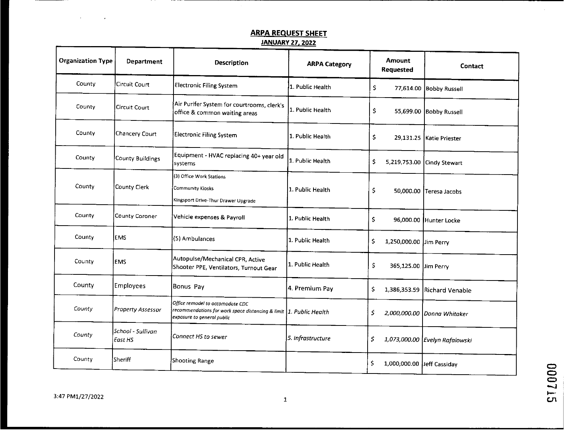## ARPA REQUEST SHEET

## JANUARY27. 2022

| <b>Organization Type</b> | <b>Department</b>            | <b>Description</b>                                                                                                                   | <b>ARPA Category</b> | <b>Amount</b><br><b>Requested</b> | Contact                        |  |
|--------------------------|------------------------------|--------------------------------------------------------------------------------------------------------------------------------------|----------------------|-----------------------------------|--------------------------------|--|
| County                   | Circuit Court                | Electronic Filing System                                                                                                             | 1. Public Health     | \$                                | 77,614.00 Bobby Russell        |  |
| County                   | Circuit Court                | Air Purifer System for courtrooms, clerk's<br>office & common waiting areas                                                          | 1. Public Health     | \$                                | 55,699.00 Bobby Russell        |  |
| County                   | Chancery Court               | Electronic Filing System                                                                                                             | 1. Public Health     | \$                                | 29,131.25 Katie Priester       |  |
| County                   | County Buildings             | Equipment - HVAC replacing 40+ year old<br>systems                                                                                   | 1. Public Health     | \$<br>5,219,753.00                | Cindy Stewart                  |  |
| County                   | County Clerk                 | (3) Office Work Stations<br>Community Kiosks<br>Kingsport Drive-Thur Drawer Upgrade                                                  | 1. Public Health     | \$                                | 50,000.00 Teresa Jacobs        |  |
| County                   | County Coroner               | Vehicle expenses & Payroll                                                                                                           | 1. Public Health     | \$                                | 96,000.00 Hunter Locke         |  |
| County                   | <b>EMS</b>                   | (5) Ambulances                                                                                                                       | 1. Public Health     | \$<br>1,250,000.00 Jim Perry      |                                |  |
| County                   | <b>EMS</b>                   | Autopulse/Mechanical CPR, Active<br>Shooter PPE, Ventilators, Turnout Gear                                                           | 1. Public Health     | \$<br>365,125.00 Jim Perry        |                                |  |
| County                   | Employees                    | Bonus Pay                                                                                                                            | 4. Premium Pay       | \$<br>1,386,353.59                | Richard Venable                |  |
| Lounty                   | <b>Property Assessor</b>     | Office remodel to accomodate CDC<br>recommendations for work space distancing & limit 1. Public Health<br>exposure to general public |                      | Ś.                                | 2,000,000.00 Donna Whitaker    |  |
| County                   | School - Sullivan<br>East HS | Connect HS to sewer                                                                                                                  | 5. Infrastructure    | 5.                                | 1,073,000.00 Evelyn Rafalowski |  |
| County                   | Sheriff                      | Shooting Range                                                                                                                       |                      | \$<br>1,000,000.00 leff Cassiday  |                                |  |

 $\equiv$  $\equiv$  $\equiv$  $\overline{\mathcal{L}}$ 

 $\mathsf{c}_\mathsf{r}$ 

3:47 PM1/27/2022 <sup>1</sup>

 $\mathbf{r}$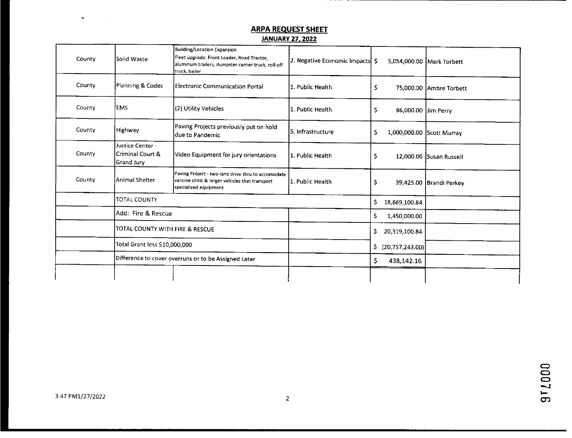### **ARPA REQUEST SHEET**

 $\sigma$  , and  $\sigma$ 

 $\sim$ 

#### **JANUARY 27. 2022**

| County | Solid Waste                                                           | Building/Location Expansion<br>Fleet upgrade: Front Loader, Road Tractor,<br>aluminum trailers, dumpster carrier truck, roll-off<br>truck, bailer | 2. Negative Economic Impacts \$ |                                 | 5,054,000.00 Mark Torbett |
|--------|-----------------------------------------------------------------------|---------------------------------------------------------------------------------------------------------------------------------------------------|---------------------------------|---------------------------------|---------------------------|
| County | Planning & Codes                                                      | Electronic Communication Portal                                                                                                                   | 1. Public Health                | \$                              | 75,000.00 Ambre Torbett   |
| County | EMS                                                                   | (2) Utility Vehicles<br>1. Public Health                                                                                                          |                                 | \$<br>86,000.00 Jim Perry       |                           |
| County | Paving Projects previously put on hold<br>Highway<br>ldue to Pandemic |                                                                                                                                                   | 5. Infrastructure               | \$<br>1,000,000.00 Scott Murray |                           |
| County | Justice Center -<br>Criminal Court &<br>Grand Jury                    | Video Equipment for jury orientations                                                                                                             | 1. Public Health                | \$                              | 12,000.00 Susan Russell   |
| County | Animal Shelter                                                        | Paving Project - two-lane drive thru to accomodate<br>vaccine clinic & larger vehicles that transport<br>specialized equipment                    | l1. Public Health               | Ş                               | 39,425.00 Brandi Perkey   |
|        | TOTAL COUNTY                                                          |                                                                                                                                                   |                                 | \$<br>18,869,100.84             |                           |
|        | Add: Fire & Rescue                                                    |                                                                                                                                                   |                                 | \$.<br>1,450,000.00             |                           |
|        | TOTAL COUNTY WITH FIRE & RESCUE                                       |                                                                                                                                                   |                                 | \$.<br>20,319,100.84            |                           |
|        | Total Grant less \$10,000,000                                         |                                                                                                                                                   |                                 | Ś.<br>(20, 757, 243.00)         |                           |
|        | Difference to cover overruns or to be Assigned Later                  |                                                                                                                                                   |                                 | \$<br>438,142.16                |                           |
|        |                                                                       |                                                                                                                                                   |                                 |                                 |                           |

972000

 $\omega$ 

 $\sim 10^{11}$  km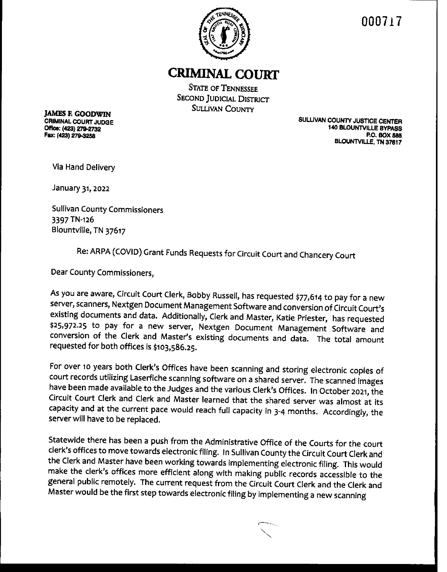

**000717**

# CRIMINAL **COURT**

**STATE OF TENNESSEE SECOND JUDICIAL DISTRICT SULLIVAN COUNTY** 

**JAMES F. GOODWIN** CRIMINAL COURT JUDGE

**CRIMINAL COURT JUDGE<br>CRIMINAL COURT JUDGE<br>Office: (423) 279-2732** Office: (49\_3) **V9473~** P.O. BOX 585 Fax: (423)279-3258 BLOUNTVIU.E, TN **37617**

Via Hand Delivery

January 31, 2022

Sullivan County Commissioners 3397 TN-126 Blountville, TN 37617

Re: ARPA (COVID) Grant Funds Requests for Circuit Court and Chancery Court

Dear County Commissioners,

As you are aware, Circuit Court Clerk, Bobby Russell, has requested \$77,614 to pay for <sup>a</sup> new server, scanners, Nextgen Document Management Software and conversion of Circuit Court's existing documents and data. Additionally, Clerk and Master, Katie Priester, has requested \$25,972.25 to pay for a new server, Nextgen Document Management Software and conversion of the Clerk and Master's existing documents and data. The total amount requested for both offices is \$103,586.25.

For over io years both Clerk's Offices have been scanning and storing electronic copies of court records utilizing Laserfiche scanning software on a shared server. The scanned images have been made available to the Judges and the various Clerk's Offices. In October **2021,** the Circuit Court Clerk and Clerk and Master learned that the shared server was almost at its capacity and at the current pace would reach full capacity in 3-4 months. Accordingly, the server will have to be replaced.

Statewide there has been <sup>a</sup> push from the Administrative Office of the Courts for the court clerk's offices to move towards electronic filing. In Sullivan County the Circuit Court Clerk and the Clerk and Master have been working towards implementing electronic filing. This would make the clerk's offices more efficient along with making public records accessible to the general public remotely. The current request from the Circuit Court Clerk and the Clerk and Master would be the first step towards electronic filing by implementing a new scanning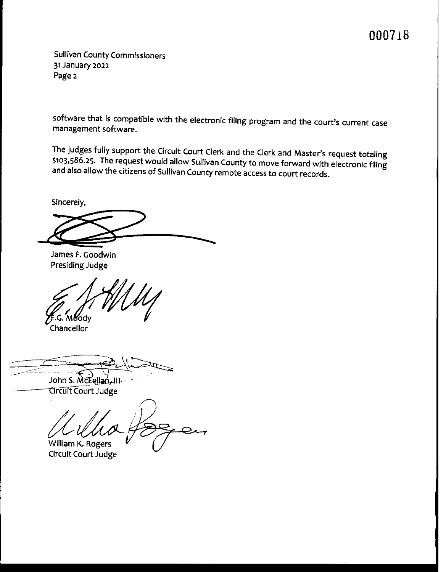# **000118**

Sullivan County Commissioners **31** January **2022** Page **2**

software that is compatible with the electronic filing program and the court's current case management software.

The judges fully support the Circuit Court Clerk and the Clerk and Master's request totaling \$103,586.25. The request would allow Sullivan County to move forward with electronic filing and also allow the citizens of Sullivan County remote access to court records.

Sincerely,

James F. Goodwin Presiding Judge

G. Mody

Chancellor

John S. McLellan-III **Circuit Court Judge** 

William K. Rogers

Circuit Court Judge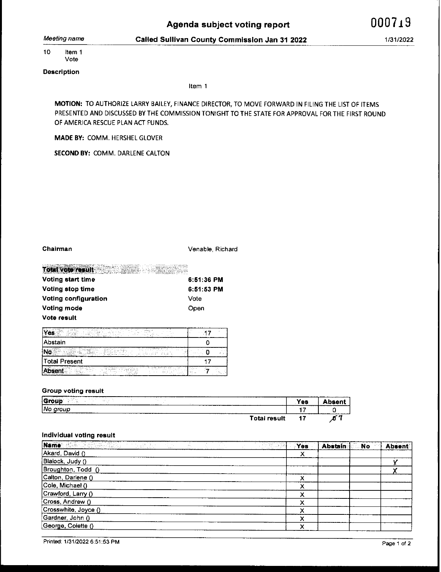Meeting name Called **Sullivan** County CommissIon Jan **31 2022** 1/31/2022

10 Item <sup>1</sup> Vote

**Description**

Item <sup>1</sup>

MOTION: TO AUTHORIZE LARRY BAILEY, FINANCE DIRECTOR, TO MOVE FORWARD IN FILING THE LIST OF ITEMS PRESENTED AND DISCUSSED BY THE COMMISSION TONIGHT TO THE STATE FOR APPROVAL FOR THE FIRST ROUND OF AMERICA RESCUE PLAN ACT FUNDS.

MADE BY: COMM. HERSHEL GLOVER

**SECOND** BY: COMM. DARLENE CALTON

Chairman **Chairman** Venable, Richard

| Voting start time                                 | 6:51:36 PM                  |
|---------------------------------------------------|-----------------------------|
| Total vote result and a state of the state of the | and a month will be come to |

| <b>VOURGOUL BRAIL</b> | 0.0 I JO FM  |
|-----------------------|--------------|
| Voting stop time      | $6:51:53$ PM |
| Voting configuration  | Vote         |
| Voting mode           | Open         |
| Vote result           |              |

| $-10.7$<br>$1.99 - 1.7$<br>a concerta de<br>$\cdots$<br>and the company<br>a.<br>and attaining to be<br>.<br><b>Contract Contract Contract</b><br><br>$\sim$<br><br>$10.11 - 10.02$<br>1997 L.<br>$\sim$ $\sim$ $\sim$ $\sim$ $\sim$ $\sim$<br><br><b>Section</b><br>sales of the con-<br><b><i><u>BREADTH</u></i></b><br>îнA<br><b>HERE</b><br>.<br><b>CONTRACTOR</b><br>a new contractor of<br>A Marine<br>a more companies and<br>.<br>77.<br>There is a contract<br><b>List in</b><br>$\mathbf{u}$<br>. .<br>. .<br>3.11<br>.<br>The Council of<br>and .                                                                                                                                                                                                                                    | $\sim$                              |
|-------------------------------------------------------------------------------------------------------------------------------------------------------------------------------------------------------------------------------------------------------------------------------------------------------------------------------------------------------------------------------------------------------------------------------------------------------------------------------------------------------------------------------------------------------------------------------------------------------------------------------------------------------------------------------------------------------------------------------------------------------------------------------------------------|-------------------------------------|
| Abstain                                                                                                                                                                                                                                                                                                                                                                                                                                                                                                                                                                                                                                                                                                                                                                                         |                                     |
| <b>11 3 4 1114 111 11</b><br><b>Side of the Card</b><br>the company of the company of the<br>with report 11 years.<br>some case and in them at<br>$ -$<br><b><i>Address</i></b><br>The American Section of<br>many and the man contraction.<br>.<br>$\sim$<br>والمتعاد وهوالمكاركة الكاسيست الانتار المتاليفيني<br>.<br>.<br>$\overline{\phantom{a}}$<br>$\cdots$<br>The same state of the state<br>advance to a state of the most com-<br>-----<br>$\sim$<br>Assay a present them.<br>and Supreme in<br>and an assistant and the control was<br>14.1<br>1.111<br>1.7.7.14<br>.<br>The Controller Con-<br><br>New York and a support of the company and the<br>.<br>11.11<br>.<br>and the second control and control to the first state of the<br>$\sim$<br>the contract of the contract of the | .                                   |
| Total Present                                                                                                                                                                                                                                                                                                                                                                                                                                                                                                                                                                                                                                                                                                                                                                                   |                                     |
| .<br>$100 - 100$<br>and allows the a<br>and a state of a state of the foreign<br>it didn't mail in some<br>The companies of the companies of the com-<br>who contained to internally the first contain-<br>.<br>.<br>the manufacturer of the transfer of the<br>Notice and Notice of<br>.<br>. .<br><b>Service</b><br>$\sim$<br>$\sim$<br>and the comments of<br>$\cdots$<br>.<br>.<br>.<br>$\sim$ $\sim$<br>aal jiri insera a<br><b>Service</b><br>The American<br>and the control of<br>$-2000$<br><b><i><u>ALLESS AT 1</u></i></b><br>.<br>16.5 Million<br><b>STAR</b><br>and an angle where the community of the<br>.                                                                                                                                                                       | . .<br>.<br><b>State State</b><br>. |

#### **Group voting** result

| $\sim$<br>------<br>------- <i>--</i> -<br>___________<br><br>Gr<br>. .<br><b>ALCOHOL: NOTE</b><br>Table 1<br>---------- | Yes | --    |
|--------------------------------------------------------------------------------------------------------------------------|-----|-------|
| l No<br>aroup<br><b><i><u>PERSONAL PROPERTY</u></i></b>                                                                  |     |       |
| <b>Total result</b>                                                                                                      |     | ar 11 |

#### **individual voting result**

| Name: WE DESCRIPTION OF BUILDING | $\sim 100$ |  | <b>TERMA</b> | Yes    | <b>Abstain</b> | . No | Absent |
|----------------------------------|------------|--|--------------|--------|----------------|------|--------|
| Akard, David ()                  |            |  |              |        |                |      |        |
| Blalock, Judy ()                 |            |  |              |        |                |      |        |
| Broughton, Todd ()               |            |  |              |        |                |      |        |
| Calton, Darlene ()               |            |  |              | х      |                |      |        |
| Cole, Michael ()                 |            |  |              |        |                |      |        |
| Crawford, Larry ()               |            |  |              | х      |                |      |        |
| Cross, Andrew ()                 |            |  |              | x      |                |      |        |
| Crosswhite, Joyce ()             |            |  |              | v<br>↗ |                |      |        |
| Gardner, John ()                 |            |  |              | x      |                |      |        |
| George, Colette ()               |            |  |              | v<br>́ |                |      |        |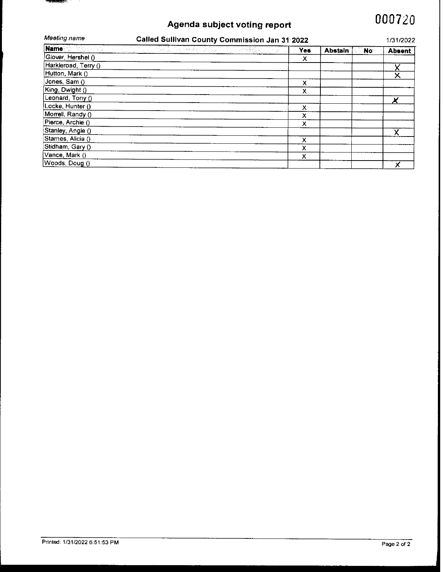## Agenda subject voting report

# 000720

| Meeting name             | Called Sullivan County Commission Jan 31 2022            |  |     |                |     |               |
|--------------------------|----------------------------------------------------------|--|-----|----------------|-----|---------------|
| Name and the <b>Name</b> | <u> 1999 - John Marie Britt, angleški politik (d. 19</u> |  | Yes | <b>Abstain</b> | No. | <b>Absent</b> |
| Glover, Hershel ()       |                                                          |  | х   |                |     |               |
| Harkleroad, Terry ()     |                                                          |  |     |                |     |               |
| Hutton, Mark ()          |                                                          |  |     |                |     |               |
| Jones, Sam ()            |                                                          |  | x   |                |     |               |
| King, Dwight ()          |                                                          |  | х   |                |     |               |
| Leonard, Tony ()         |                                                          |  |     |                |     |               |
| Locke, Hunter ()         |                                                          |  | x   |                |     |               |
| Morrell, Randy ()        |                                                          |  | x   |                |     |               |
| Pierce, Archie ()        |                                                          |  | х   |                |     |               |
| Stanley, Angie ()        |                                                          |  |     |                |     |               |
| Starnes, Alicia ()       |                                                          |  | X   |                |     |               |
| Stidham, Gary ()         |                                                          |  | х   |                |     |               |
| Vance, Mark ()           |                                                          |  | x   |                |     |               |
| Woods, Doug ()           |                                                          |  |     |                |     |               |

 $\mathcal{L}$ *<u> Alexander (f. 1886)</u>*